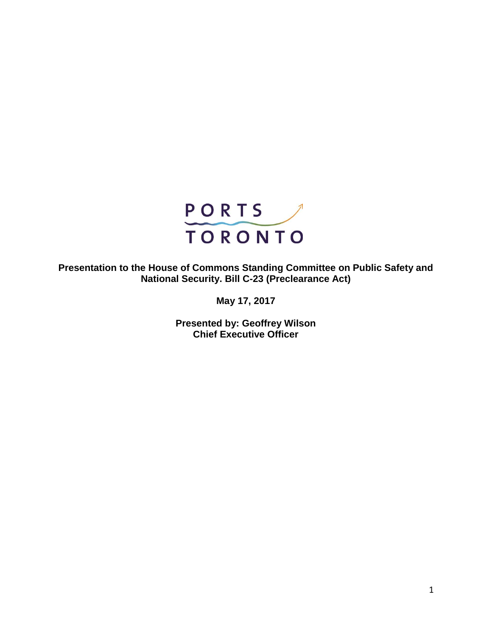

**Presentation to the House of Commons Standing Committee on Public Safety and National Security. Bill C-23 (Preclearance Act)**

**May 17, 2017**

**Presented by: Geoffrey Wilson Chief Executive Officer**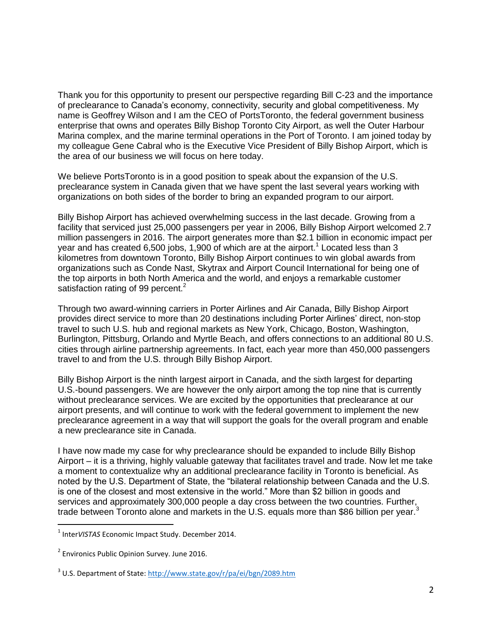Thank you for this opportunity to present our perspective regarding Bill C-23 and the importance of preclearance to Canada's economy, connectivity, security and global competitiveness. My name is Geoffrey Wilson and I am the CEO of PortsToronto, the federal government business enterprise that owns and operates Billy Bishop Toronto City Airport, as well the Outer Harbour Marina complex, and the marine terminal operations in the Port of Toronto. I am joined today by my colleague Gene Cabral who is the Executive Vice President of Billy Bishop Airport, which is the area of our business we will focus on here today.

We believe PortsToronto is in a good position to speak about the expansion of the U.S. preclearance system in Canada given that we have spent the last several years working with organizations on both sides of the border to bring an expanded program to our airport.

Billy Bishop Airport has achieved overwhelming success in the last decade. Growing from a facility that serviced just 25,000 passengers per year in 2006, Billy Bishop Airport welcomed 2.7 million passengers in 2016. The airport generates more than \$2.1 billion in economic impact per year and has created 6,500 jobs, 1,900 of which are at the airport.<sup>1</sup> Located less than 3 kilometres from downtown Toronto, Billy Bishop Airport continues to win global awards from organizations such as Conde Nast, Skytrax and Airport Council International for being one of the top airports in both North America and the world, and enjoys a remarkable customer satisfaction rating of 99 percent.<sup>2</sup>

Through two award-winning carriers in Porter Airlines and Air Canada, Billy Bishop Airport provides direct service to more than 20 destinations including Porter Airlines' direct, non-stop travel to such U.S. hub and regional markets as New York, Chicago, Boston, Washington, Burlington, Pittsburg, Orlando and Myrtle Beach, and offers connections to an additional 80 U.S. cities through airline partnership agreements. In fact, each year more than 450,000 passengers travel to and from the U.S. through Billy Bishop Airport.

Billy Bishop Airport is the ninth largest airport in Canada, and the sixth largest for departing U.S.-bound passengers. We are however the only airport among the top nine that is currently without preclearance services. We are excited by the opportunities that preclearance at our airport presents, and will continue to work with the federal government to implement the new preclearance agreement in a way that will support the goals for the overall program and enable a new preclearance site in Canada.

I have now made my case for why preclearance should be expanded to include Billy Bishop Airport – it is a thriving, highly valuable gateway that facilitates travel and trade. Now let me take a moment to contextualize why an additional preclearance facility in Toronto is beneficial. As noted by the U.S. Department of State, the "bilateral relationship between Canada and the U.S. is one of the closest and most extensive in the world." More than \$2 billion in goods and services and approximately 300,000 people a day cross between the two countries. Further, trade between Toronto alone and markets in the U.S. equals more than \$86 billion per vear.<sup>3</sup>

 $\overline{a}$ 

<sup>1</sup> Inter*VISTAS* Economic Impact Study. December 2014.

<sup>&</sup>lt;sup>2</sup> Environics Public Opinion Survey. June 2016.

<sup>&</sup>lt;sup>3</sup> U.S. Department of State:<http://www.state.gov/r/pa/ei/bgn/2089.htm>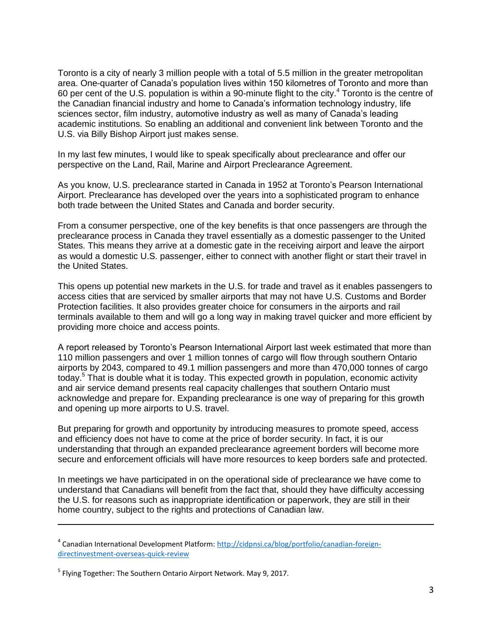Toronto is a city of nearly 3 million people with a total of 5.5 million in the greater metropolitan area. One-quarter of Canada's population lives within 150 kilometres of Toronto and more than 60 per cent of the U.S. population is within a 90-minute flight to the city.<sup>4</sup> Toronto is the centre of the Canadian financial industry and home to Canada's information technology industry, life sciences sector, film industry, automotive industry as well as many of Canada's leading academic institutions. So enabling an additional and convenient link between Toronto and the U.S. via Billy Bishop Airport just makes sense.

In my last few minutes, I would like to speak specifically about preclearance and offer our perspective on the Land, Rail, Marine and Airport Preclearance Agreement.

As you know, U.S. preclearance started in Canada in 1952 at Toronto's Pearson International Airport. Preclearance has developed over the years into a sophisticated program to enhance both trade between the United States and Canada and border security.

From a consumer perspective, one of the key benefits is that once passengers are through the preclearance process in Canada they travel essentially as a domestic passenger to the United States. This means they arrive at a domestic gate in the receiving airport and leave the airport as would a domestic U.S. passenger, either to connect with another flight or start their travel in the United States.

This opens up potential new markets in the U.S. for trade and travel as it enables passengers to access cities that are serviced by smaller airports that may not have U.S. Customs and Border Protection facilities. It also provides greater choice for consumers in the airports and rail terminals available to them and will go a long way in making travel quicker and more efficient by providing more choice and access points.

A report released by Toronto's Pearson International Airport last week estimated that more than 110 million passengers and over 1 million tonnes of cargo will flow through southern Ontario airports by 2043, compared to 49.1 million passengers and more than 470,000 tonnes of cargo today.<sup>5</sup> That is double what it is today. This expected growth in population, economic activity and air service demand presents real capacity challenges that southern Ontario must acknowledge and prepare for. Expanding preclearance is one way of preparing for this growth and opening up more airports to U.S. travel.

But preparing for growth and opportunity by introducing measures to promote speed, access and efficiency does not have to come at the price of border security. In fact, it is our understanding that through an expanded preclearance agreement borders will become more secure and enforcement officials will have more resources to keep borders safe and protected.

In meetings we have participated in on the operational side of preclearance we have come to understand that Canadians will benefit from the fact that, should they have difficulty accessing the U.S. for reasons such as inappropriate identification or paperwork, they are still in their home country, subject to the rights and protections of Canadian law.

 $\overline{a}$ 

<sup>&</sup>lt;sup>4</sup> Canadian International Development Platform: [http://cidpnsi.ca/blog/portfolio/canadian-foreign](http://cidpnsi.ca/blog/portfolio/canadian-foreign-directinvestment-overseas-quick-review)[directinvestment-overseas-quick-review](http://cidpnsi.ca/blog/portfolio/canadian-foreign-directinvestment-overseas-quick-review)

<sup>&</sup>lt;sup>5</sup> Flying Together: The Southern Ontario Airport Network. May 9, 2017.